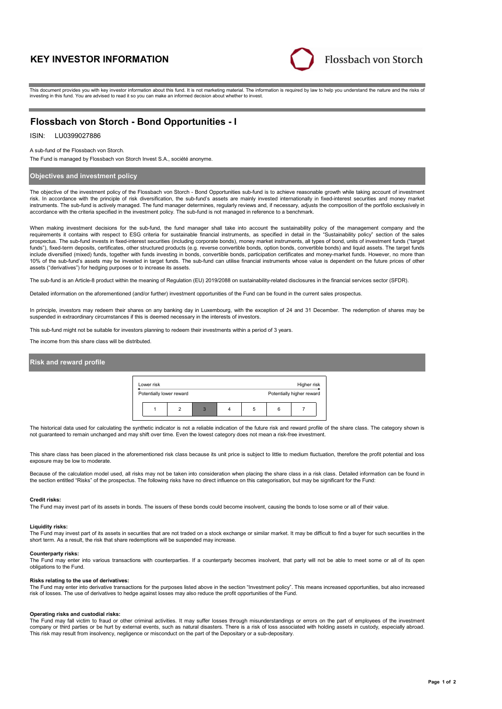# **KEY INVESTOR INFORMATION**



This document provides you with key investor information about this fund. It is not marketing material. The information is required by law to help you understand the nature and the risks of investing in this fund. You are advised to read it so you can make an informed decision about whether to invest.

# **Flossbach von Storch - Bond Opportunities - I**

# ISIN: LU0399027886

A sub-fund of the Flossbach von Storch.

The Fund is managed by Flossbach von Storch Invest S.A., société anonyme.

# **Objectives and investment policy**

The objective of the investment policy of the Flossbach von Storch - Bond Opportunities sub-fund is to achieve reasonable growth while taking account of investment risk. In accordance with the principle of risk diversification, the sub-fund's assets are mainly invested internationally in fixed-interest securities and money market instruments. The sub-fund is actively managed. The fund manager determines, regularly reviews and, if necessary, adjusts the composition of the portfolio exclusively in accordance with the criteria specified in the investment policy. The sub-fund is not managed in reference to a benchmark.

When making investment decisions for the sub-fund, the fund manager shall take into account the sustainability policy of the management company and the requirements it contains with respect to ESG criteria for sustainable financial instruments, as specified in detail in the "Sustainability policy" section of the sales prospectus. The sub-fund invests in fixed-interest securities (including corporate bonds), money market instruments, all types of bond, units of investment funds ("target funds"), fixed-term deposits, certificates, other structured products (e.g. reverse convertible bonds, option bonds, convertible bonds) and liquid assets. The target funds include diversified (mixed) funds, together with funds investing in bonds, convertible bonds, participation certificates and money-market funds. However, no more than<br>10% of the sub-fund's assets may be invested in target assets ("derivatives") for hedging purposes or to increase its assets.

The sub-fund is an Article-8 product within the meaning of Regulation (EU) 2019/2088 on sustainability-related disclosures in the financial services sector (SFDR).

Detailed information on the aforementioned (and/or further) investment opportunities of the Fund can be found in the current sales prospectus.

In principle, investors may redeem their shares on any banking day in Luxembourg, with the exception of 24 and 31 December. The redemption of shares may be suspended in extraordinary circumstances if this is deemed necessary in the interests of investors.

This sub-fund might not be suitable for investors planning to redeem their investments within a period of 3 years.

The income from this share class will be distributed.

## **Risk and reward profile**



The historical data used for calculating the synthetic indicator is not a reliable indication of the future risk and reward profile of the share class. The category shown is not guaranteed to remain unchanged and may shift over time. Even the lowest category does not mean a risk-free investment.

This share class has been placed in the aforementioned risk class because its unit price is subject to little to medium fluctuation, therefore the profit potential and loss exposure may be low to moderate.

Because of the calculation model used, all risks may not be taken into consideration when placing the share class in a risk class. Detailed information can be found in the section entitled "Risks" of the prospectus. The following risks have no direct influence on this categorisation, but may be significant for the Fund:

#### **Credit risks:**

The Fund may invest part of its assets in bonds. The issuers of these bonds could become insolvent, causing the bonds to lose some or all of their value.

#### **Liquidity risks:**

The Fund may invest part of its assets in securities that are not traded on a stock exchange or similar market. It may be difficult to find a buyer for such securities in the short term. As a result, the risk that share redemptions will be suspended may increase.

#### **Counterparty risks:**

The Fund may enter into various transactions with counterparties. If a counterparty becomes insolvent, that party will not be able to meet some or all of its open obligations to the Fund.

#### **Risks relating to the use of derivatives:**

The Fund may enter into derivative transactions for the purposes listed above in the section "Investment policy". This means increased opportunities, but also increased risk of losses. The use of derivatives to hedge against losses may also reduce the profit opportunities of the Fund.

### **Operating risks and custodial risks:**

The Fund may fall victim to fraud or other criminal activities. It may suffer losses through misunderstandings or errors on the part of employees of the investment company or third parties or be hurt by external events, such as natural disasters. There is a risk of loss associated with holding assets in custody, especially abroad. This risk may result from insolvency, negligence or misconduct on the part of the Depositary or a sub-depositary.